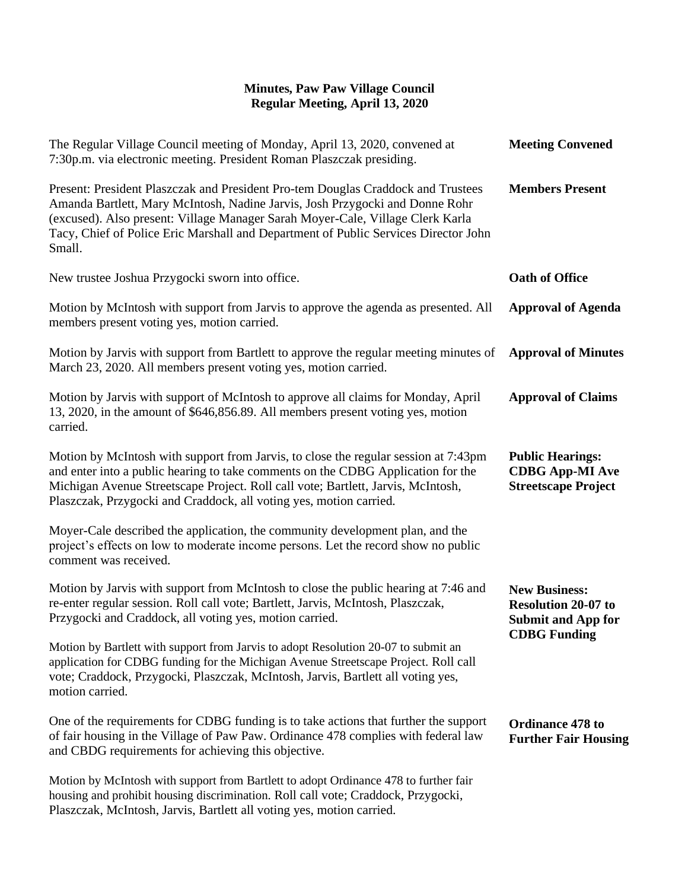## **Minutes, Paw Paw Village Council Regular Meeting, April 13, 2020**

| The Regular Village Council meeting of Monday, April 13, 2020, convened at<br>7:30p.m. via electronic meeting. President Roman Plaszczak presiding.                                                                                                                                                                                                 | <b>Meeting Convened</b>                                                                                |
|-----------------------------------------------------------------------------------------------------------------------------------------------------------------------------------------------------------------------------------------------------------------------------------------------------------------------------------------------------|--------------------------------------------------------------------------------------------------------|
| Present: President Plaszczak and President Pro-tem Douglas Craddock and Trustees<br>Amanda Bartlett, Mary McIntosh, Nadine Jarvis, Josh Przygocki and Donne Rohr<br>(excused). Also present: Village Manager Sarah Moyer-Cale, Village Clerk Karla<br>Tacy, Chief of Police Eric Marshall and Department of Public Services Director John<br>Small. | <b>Members Present</b>                                                                                 |
| New trustee Joshua Przygocki sworn into office.                                                                                                                                                                                                                                                                                                     | <b>Oath of Office</b>                                                                                  |
| Motion by McIntosh with support from Jarvis to approve the agenda as presented. All<br>members present voting yes, motion carried.                                                                                                                                                                                                                  | <b>Approval of Agenda</b>                                                                              |
| Motion by Jarvis with support from Bartlett to approve the regular meeting minutes of<br>March 23, 2020. All members present voting yes, motion carried.                                                                                                                                                                                            | <b>Approval of Minutes</b>                                                                             |
| Motion by Jarvis with support of McIntosh to approve all claims for Monday, April<br>13, 2020, in the amount of \$646,856.89. All members present voting yes, motion<br>carried.                                                                                                                                                                    | <b>Approval of Claims</b>                                                                              |
| Motion by McIntosh with support from Jarvis, to close the regular session at 7:43pm<br>and enter into a public hearing to take comments on the CDBG Application for the<br>Michigan Avenue Streetscape Project. Roll call vote; Bartlett, Jarvis, McIntosh,<br>Plaszczak, Przygocki and Craddock, all voting yes, motion carried.                   | <b>Public Hearings:</b><br><b>CDBG App-MI Ave</b><br><b>Streetscape Project</b>                        |
| Moyer-Cale described the application, the community development plan, and the<br>project's effects on low to moderate income persons. Let the record show no public<br>comment was received.                                                                                                                                                        |                                                                                                        |
| Motion by Jarvis with support from McIntosh to close the public hearing at 7:46 and<br>re-enter regular session. Roll call vote; Bartlett, Jarvis, McIntosh, Plaszczak,<br>Przygocki and Craddock, all voting yes, motion carried.                                                                                                                  | <b>New Business:</b><br><b>Resolution 20-07 to</b><br><b>Submit and App for</b><br><b>CDBG</b> Funding |
| Motion by Bartlett with support from Jarvis to adopt Resolution 20-07 to submit an<br>application for CDBG funding for the Michigan Avenue Streetscape Project. Roll call<br>vote; Craddock, Przygocki, Plaszczak, McIntosh, Jarvis, Bartlett all voting yes,<br>motion carried.                                                                    |                                                                                                        |
| One of the requirements for CDBG funding is to take actions that further the support<br>of fair housing in the Village of Paw Paw. Ordinance 478 complies with federal law<br>and CBDG requirements for achieving this objective.                                                                                                                   | Ordinance 478 to<br><b>Further Fair Housing</b>                                                        |
| Motion by McIntosh with support from Bartlett to adopt Ordinance 478 to further fair<br>housing and prohibit housing discrimination. Roll call vote; Craddock, Przygocki,<br>Plaszczak, McIntosh, Jarvis, Bartlett all voting yes, motion carried.                                                                                                  |                                                                                                        |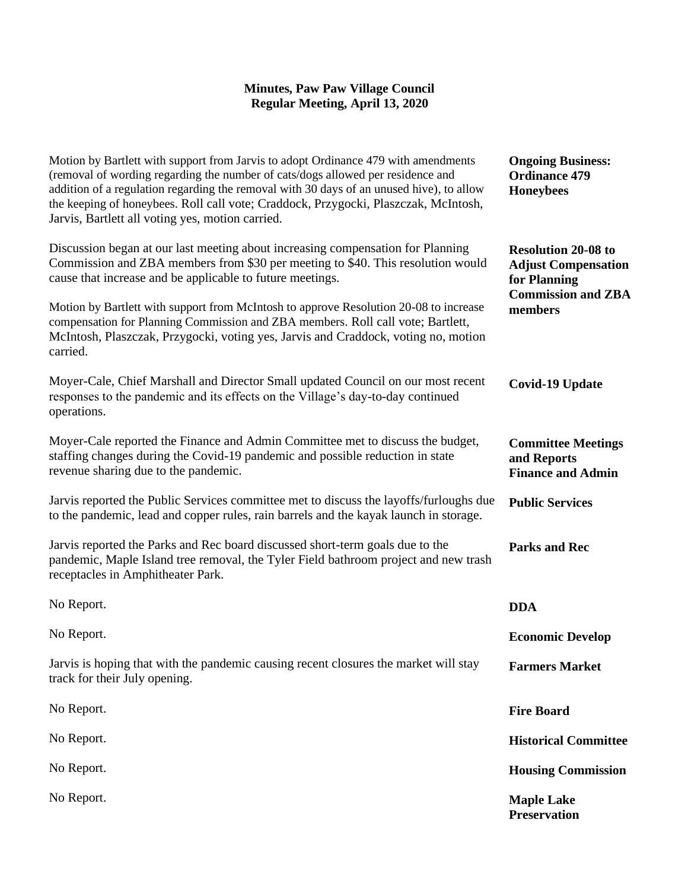## **Minutes, Paw Paw Village Council Regular Meeting, April 13, 2020**

| Motion by Bartlett with support from Jarvis to adopt Ordinance 479 with amendments<br>(removal of wording regarding the number of cats/dogs allowed per residence and<br>addition of a regulation regarding the removal with 30 days of an unused hive), to allow<br>the keeping of honeybees. Roll call vote; Craddock, Przygocki, Plaszczak, McIntosh,<br>Jarvis, Bartlett all voting yes, motion carried. | <b>Ongoing Business:</b><br><b>Ordinance 479</b><br><b>Honeybees</b>                                             |
|--------------------------------------------------------------------------------------------------------------------------------------------------------------------------------------------------------------------------------------------------------------------------------------------------------------------------------------------------------------------------------------------------------------|------------------------------------------------------------------------------------------------------------------|
| Discussion began at our last meeting about increasing compensation for Planning<br>Commission and ZBA members from \$30 per meeting to \$40. This resolution would<br>cause that increase and be applicable to future meetings.                                                                                                                                                                              | <b>Resolution 20-08 to</b><br><b>Adjust Compensation</b><br>for Planning<br><b>Commission and ZBA</b><br>members |
| Motion by Bartlett with support from McIntosh to approve Resolution 20-08 to increase<br>compensation for Planning Commission and ZBA members. Roll call vote; Bartlett,<br>McIntosh, Plaszczak, Przygocki, voting yes, Jarvis and Craddock, voting no, motion<br>carried.                                                                                                                                   |                                                                                                                  |
| Moyer-Cale, Chief Marshall and Director Small updated Council on our most recent<br>responses to the pandemic and its effects on the Village's day-to-day continued<br>operations.                                                                                                                                                                                                                           | <b>Covid-19 Update</b>                                                                                           |
| Moyer-Cale reported the Finance and Admin Committee met to discuss the budget,<br>staffing changes during the Covid-19 pandemic and possible reduction in state<br>revenue sharing due to the pandemic.                                                                                                                                                                                                      | <b>Committee Meetings</b><br>and Reports<br><b>Finance and Admin</b>                                             |
| Jarvis reported the Public Services committee met to discuss the layoffs/furloughs due<br>to the pandemic, lead and copper rules, rain barrels and the kayak launch in storage.                                                                                                                                                                                                                              | <b>Public Services</b>                                                                                           |
| Jarvis reported the Parks and Rec board discussed short-term goals due to the<br>pandemic, Maple Island tree removal, the Tyler Field bathroom project and new trash<br>receptacles in Amphitheater Park.                                                                                                                                                                                                    | <b>Parks and Rec</b>                                                                                             |
| No Report.                                                                                                                                                                                                                                                                                                                                                                                                   | <b>DDA</b>                                                                                                       |
| No Report.                                                                                                                                                                                                                                                                                                                                                                                                   | <b>Economic Develop</b>                                                                                          |
| Jarvis is hoping that with the pandemic causing recent closures the market will stay<br>track for their July opening.                                                                                                                                                                                                                                                                                        | <b>Farmers Market</b>                                                                                            |
| No Report.                                                                                                                                                                                                                                                                                                                                                                                                   | <b>Fire Board</b>                                                                                                |
| No Report.                                                                                                                                                                                                                                                                                                                                                                                                   | <b>Historical Committee</b>                                                                                      |
| No Report.                                                                                                                                                                                                                                                                                                                                                                                                   | <b>Housing Commission</b>                                                                                        |
| No Report.                                                                                                                                                                                                                                                                                                                                                                                                   | <b>Maple Lake</b><br><b>Preservation</b>                                                                         |